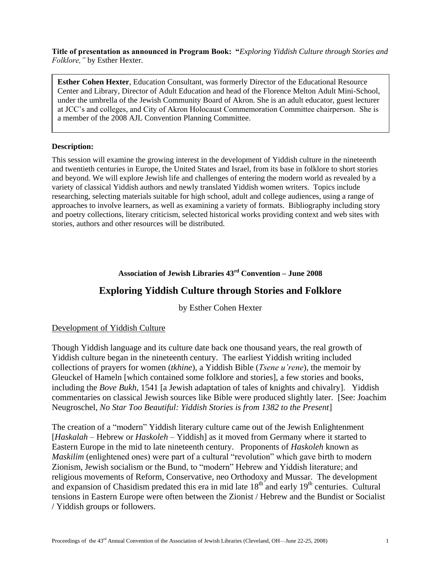**Title of presentation as announced in Program Book: "***Exploring Yiddish Culture through Stories and Folklore,"* by Esther Hexter.

**Esther Cohen Hexter**, Education Consultant, was formerly Director of the Educational Resource Center and Library, Director of Adult Education and head of the Florence Melton Adult Mini-School, under the umbrella of the Jewish Community Board of Akron. She is an adult educator, guest lecturer at JCC's and colleges, and City of Akron Holocaust Commemoration Committee chairperson. She is a member of the 2008 AJL Convention Planning Committee.

### **Description:**

This session will examine the growing interest in the development of Yiddish culture in the nineteenth and twentieth centuries in Europe, the United States and Israel, from its base in folklore to short stories and beyond. We will explore Jewish life and challenges of entering the modern world as revealed by a variety of classical Yiddish authors and newly translated Yiddish women writers. Topics include researching, selecting materials suitable for high school, adult and college audiences, using a range of approaches to involve learners, as well as examining a variety of formats. Bibliography including story and poetry collections, literary criticism, selected historical works providing context and web sites with stories, authors and other resources will be distributed.

## **Association of Jewish Libraries 43rd Convention – June 2008**

# **Exploring Yiddish Culture through Stories and Folklore**

by Esther Cohen Hexter

### Development of Yiddish Culture

Though Yiddish language and its culture date back one thousand years, the real growth of Yiddish culture began in the nineteenth century. The earliest Yiddish writing included collections of prayers for women (*tkhine*), a Yiddish Bible (*Tsene u"rene*), the memoir by Gleuckel of Hameln [which contained some folklore and stories], a few stories and books, including the *Bove Bukh*, 1541 [a Jewish adaptation of tales of knights and chivalry]. Yiddish commentaries on classical Jewish sources like Bible were produced slightly later. [See: Joachim Neugroschel, *No Star Too Beautiful: Yiddish Stories is from 1382 to the Present*]

The creation of a "modern" Yiddish literary culture came out of the Jewish Enlightenment [*Haskalah* – Hebrew or *Haskoleh* – Yiddish] as it moved from Germany where it started to Eastern Europe in the mid to late nineteenth century. Proponents of *Haskoleh* known as *Maskilim* (enlightened ones) were part of a cultural "revolution" which gave birth to modern Zionism, Jewish socialism or the Bund, to "modern" Hebrew and Yiddish literature; and religious movements of Reform, Conservative, neo Orthodoxy and Mussar. The development and expansion of Chasidism predated this era in mid late  $18<sup>th</sup>$  and early  $19<sup>th</sup>$  centuries. Cultural tensions in Eastern Europe were often between the Zionist / Hebrew and the Bundist or Socialist / Yiddish groups or followers.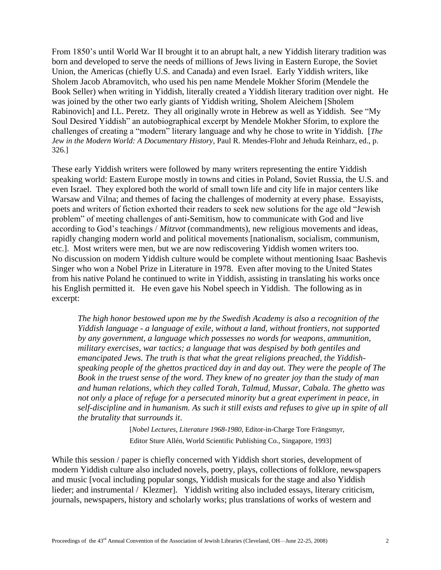From 1850's until World War II brought it to an abrupt halt, a new Yiddish literary tradition was born and developed to serve the needs of millions of Jews living in Eastern Europe, the Soviet Union, the Americas (chiefly U.S. and Canada) and even Israel. Early Yiddish writers, like Sholem Jacob Abramovitch, who used his pen name Mendele Mokher Sforim (Mendele the Book Seller) when writing in Yiddish, literally created a Yiddish literary tradition over night. He was joined by the other two early giants of Yiddish writing, Sholem Aleichem [Sholem Rabinovich] and I.L. Peretz. They all originally wrote in Hebrew as well as Yiddish. See "My Soul Desired Yiddish" an autobiographical excerpt by Mendele Mokher Sforim, to explore the challenges of creating a "modern" literary language and why he chose to write in Yiddish. [*The Jew in the Modern World: A Documentary History*, Paul R. Mendes-Flohr and Jehuda Reinharz, ed., p. 326.]

These early Yiddish writers were followed by many writers representing the entire Yiddish speaking world: Eastern Europe mostly in towns and cities in Poland, Soviet Russia, the U.S. and even Israel. They explored both the world of small town life and city life in major centers like Warsaw and Vilna; and themes of facing the challenges of modernity at every phase. Essayists, poets and writers of fiction exhorted their readers to seek new solutions for the age old "Jewish" problem" of meeting challenges of anti-Semitism, how to communicate with God and live according to God's teachings / *Mitzvot* (commandments), new religious movements and ideas, rapidly changing modern world and political movements [nationalism, socialism, communism, etc.]. Most writers were men, but we are now rediscovering Yiddish women writers too. No discussion on modern Yiddish culture would be complete without mentioning Isaac Bashevis Singer who won a Nobel Prize in Literature in 1978. Even after moving to the United States from his native Poland he continued to write in Yiddish, assisting in translating his works once his English permitted it. He even gave his Nobel speech in Yiddish. The following as in excerpt:

*The high honor bestowed upon me by the [Swedish Academy](http://nobelprize.org/redirect/links_out/prizeawarder.php?from=/nobel_prizes/literature/laureates/1978/singer-lecture.html&object=svenskaakademien&to=http://www.svenskaakademien.se/) is also a recognition of the Yiddish language - a language of exile, without a land, without frontiers, not supported by any government, a language which possesses no words for weapons, ammunition, military exercises, war tactics; a language that was despised by both gentiles and emancipated Jews. The truth is that what the great religions preached, the Yiddishspeaking people of the ghettos practiced day in and day out. They were the people of The Book in the truest sense of the word. They knew of no greater joy than the study of man and human relations, which they called Torah, Talmud, Mussar, Cabala. The ghetto was not only a place of refuge for a persecuted minority but a great experiment in peace, in self-discipline and in humanism. As such it still exists and refuses to give up in spite of all the brutality that surrounds it*.

> [*[Nobel Lectures,](http://nobelprize.org/nobelfoundation/publications/lectures/index.html) Literature 1968-1980*, Editor-in-Charge Tore Frängsmyr, Editor Sture Allén, World Scientific Publishing Co., Singapore, 1993]

While this session / paper is chiefly concerned with Yiddish short stories, development of modern Yiddish culture also included novels, poetry, plays, collections of folklore, newspapers and music [vocal including popular songs, Yiddish musicals for the stage and also Yiddish lieder; and instrumental / Klezmer]. Yiddish writing also included essays, literary criticism, journals, newspapers, history and scholarly works; plus translations of works of western and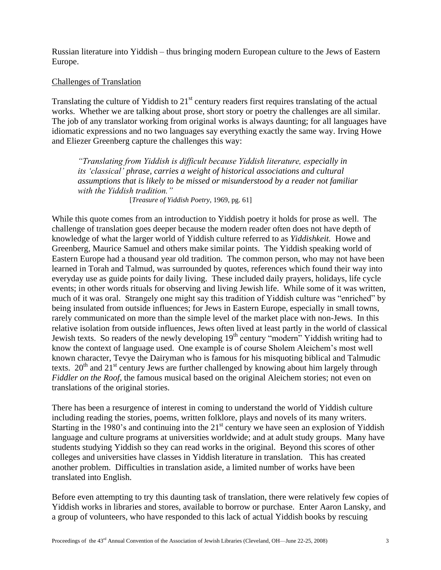Russian literature into Yiddish – thus bringing modern European culture to the Jews of Eastern Europe.

## Challenges of Translation

Translating the culture of Yiddish to  $21<sup>st</sup>$  century readers first requires translating of the actual works. Whether we are talking about prose, short story or poetry the challenges are all similar. The job of any translator working from original works is always daunting; for all languages have idiomatic expressions and no two languages say everything exactly the same way. Irving Howe and Eliezer Greenberg capture the challenges this way:

*"Translating from Yiddish is difficult because Yiddish literature, especially in its "classical" phrase, carries a weight of historical associations and cultural assumptions that is likely to be missed or misunderstood by a reader not familiar with the Yiddish tradition."*  [*Treasure of Yiddish Poetry*, 1969, pg. 61]

While this quote comes from an introduction to Yiddish poetry it holds for prose as well. The challenge of translation goes deeper because the modern reader often does not have depth of knowledge of what the larger world of Yiddish culture referred to as *Yiddishkeit.* Howe and Greenberg, Maurice Samuel and others make similar points. The Yiddish speaking world of Eastern Europe had a thousand year old tradition. The common person, who may not have been learned in Torah and Talmud, was surrounded by quotes, references which found their way into everyday use as guide points for daily living. These included daily prayers, holidays, life cycle events; in other words rituals for observing and living Jewish life. While some of it was written, much of it was oral. Strangely one might say this tradition of Yiddish culture was "enriched" by being insulated from outside influences; for Jews in Eastern Europe, especially in small towns, rarely communicated on more than the simple level of the market place with non-Jews. In this relative isolation from outside influences, Jews often lived at least partly in the world of classical Jewish texts. So readers of the newly developing  $19<sup>th</sup>$  century "modern" Yiddish writing had to know the context of language used. One example is of course Sholem Aleichem's most well known character, Tevye the Dairyman who is famous for his misquoting biblical and Talmudic texts.  $20^{th}$  and  $21^{st}$  century Jews are further challenged by knowing about him largely through *Fiddler on the Roof*, the famous musical based on the original Aleichem stories; not even on translations of the original stories.

There has been a resurgence of interest in coming to understand the world of Yiddish culture including reading the stories, poems, written folklore, plays and novels of its many writers. Starting in the 1980's and continuing into the  $21<sup>st</sup>$  century we have seen an explosion of Yiddish language and culture programs at universities worldwide; and at adult study groups. Many have students studying Yiddish so they can read works in the original. Beyond this scores of other colleges and universities have classes in Yiddish literature in translation. This has created another problem. Difficulties in translation aside, a limited number of works have been translated into English.

Before even attempting to try this daunting task of translation, there were relatively few copies of Yiddish works in libraries and stores, available to borrow or purchase. Enter Aaron Lansky, and a group of volunteers, who have responded to this lack of actual Yiddish books by rescuing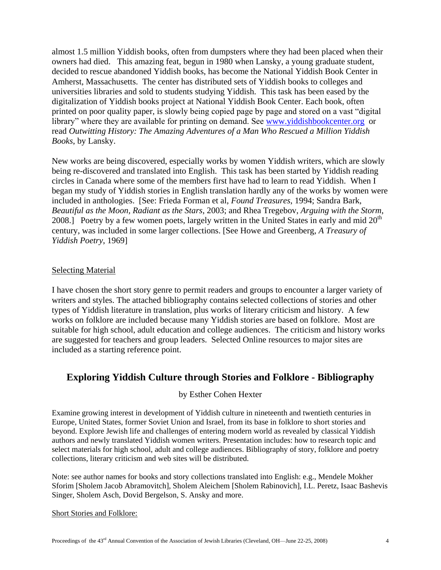almost 1.5 million Yiddish books, often from dumpsters where they had been placed when their owners had died. This amazing feat, begun in 1980 when Lansky, a young graduate student, decided to rescue abandoned Yiddish books, has become the National Yiddish Book Center in Amherst, Massachusetts. The center has distributed sets of Yiddish books to colleges and universities libraries and sold to students studying Yiddish. This task has been eased by the digitalization of Yiddish books project at National Yiddish Book Center. Each book, often printed on poor quality paper, is slowly being copied page by page and stored on a vast "digital" library" where they are available for printing on demand. See [www.yiddishbookcenter.org](http://www.yiddishbookcenter.org/) or read *Outwitting History: The Amazing Adventures of a Man Who Rescued a Million Yiddish Books*, by Lansky.

New works are being discovered, especially works by women Yiddish writers, which are slowly being re-discovered and translated into English. This task has been started by Yiddish reading circles in Canada where some of the members first have had to learn to read Yiddish. When I began my study of Yiddish stories in English translation hardly any of the works by women were included in anthologies. [See: Frieda Forman et al, *Found Treasures*, 1994; Sandra Bark, *Beautiful as the Moon, Radiant as the Stars*, 2003; and Rhea Tregebov, *Arguing with the Storm*, 2008.] Poetry by a few women poets, largely written in the United States in early and mid  $20<sup>th</sup>$ century, was included in some larger collections. [See Howe and Greenberg, *A Treasury of Yiddish Poetry*, 1969]

### **Selecting Material**

I have chosen the short story genre to permit readers and groups to encounter a larger variety of writers and styles. The attached bibliography contains selected collections of stories and other types of Yiddish literature in translation, plus works of literary criticism and history. A few works on folklore are included because many Yiddish stories are based on folklore. Most are suitable for high school, adult education and college audiences. The criticism and history works are suggested for teachers and group leaders. Selected Online resources to major sites are included as a starting reference point.

# **Exploring Yiddish Culture through Stories and Folklore - Bibliography**

### by Esther Cohen Hexter

Examine growing interest in development of Yiddish culture in nineteenth and twentieth centuries in Europe, United States, former Soviet Union and Israel, from its base in folklore to short stories and beyond. Explore Jewish life and challenges of entering modern world as revealed by classical Yiddish authors and newly translated Yiddish women writers. Presentation includes: how to research topic and select materials for high school, adult and college audiences. Bibliography of story, folklore and poetry collections, literary criticism and web sites will be distributed.

Note: see author names for books and story collections translated into English: e.g., Mendele Mokher Sforim [Sholem Jacob Abramovitch], Sholem Aleichem [Sholem Rabinovich], I.L. Peretz, Isaac Bashevis Singer, Sholem Asch, Dovid Bergelson, S. Ansky and more.

### Short Stories and Folklore: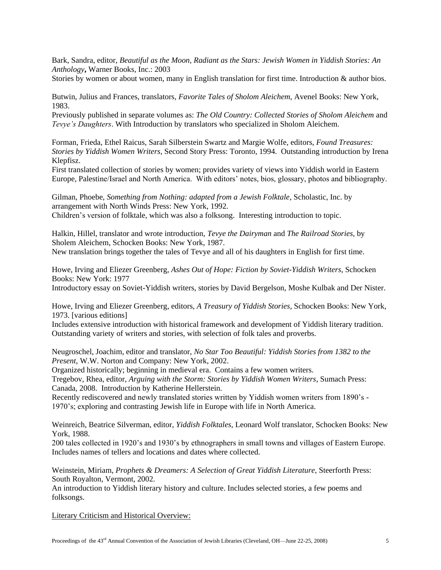Bark, Sandra, editor, *[Beautiful as the Moon, Radiant as the Stars: Jewish Women in Yiddish Stories: An](http://www.amazon.com/Beautiful-Moon-Radiant-Stars-Anthology/dp/0446691364/ref=pd_ybh_5?pf_rd_p=280800601&pf_rd_s=center-2&pf_rd_t=1501&pf_rd_i=ybh&pf_rd_m=ATVPDKIKX0DER&pf_rd_r=13VF1CC8QNCC2FGRY5R8)  [Anthology](http://www.amazon.com/Beautiful-Moon-Radiant-Stars-Anthology/dp/0446691364/ref=pd_ybh_5?pf_rd_p=280800601&pf_rd_s=center-2&pf_rd_t=1501&pf_rd_i=ybh&pf_rd_m=ATVPDKIKX0DER&pf_rd_r=13VF1CC8QNCC2FGRY5R8)***,** Warner Books, Inc.: 2003

Stories by women or about women, many in English translation for first time. Introduction & author bios.

Butwin, Julius and Frances, translators, *Favorite Tales of Sholom Aleichem*, Avenel Books: New York, 1983.

Previously published in separate volumes as: *The Old Country: Collected Stories of Sholom Aleichem* and *Tevye"s Daughters*. With Introduction by translators who specialized in Sholom Aleichem.

Forman, Frieda, Ethel Raicus, Sarah Silberstein Swartz and Margie Wolfe, editors, *Found Treasures: Stories by Yiddish Women Writers*, Second Story Press: Toronto, 1994. Outstanding introduction by Irena Klepfisz.

First translated collection of stories by women; provides variety of views into Yiddish world in Eastern Europe, Palestine/Israel and North America. With editors' notes, bios, glossary, photos and bibliography.

Gilman, Phoebe, *Something from Nothing: adapted from a Jewish Folktale*, Scholastic, Inc. by arrangement with North Winds Press: New York, 1992. Children's version of folktale, which was also a folksong. Interesting introduction to topic.

Halkin, Hillel, translator and wrote introduction, *Tevye the Dairyman* and *The Railroad Stories,* by Sholem Aleichem, Schocken Books: New York, 1987. New translation brings together the tales of Tevye and all of his daughters in English for first time.

Howe, Irving and Eliezer Greenberg, *Ashes Out of Hope: Fiction by Soviet-Yiddish Writers*, Schocken Books: New York: 1977

Introductory essay on Soviet-Yiddish writers, stories by David Bergelson, Moshe Kulbak and Der Nister.

Howe, Irving and Eliezer Greenberg, editors, *A Treasury of Yiddish Stories*, Schocken Books: New York, 1973. [various editions]

Includes extensive introduction with historical framework and development of Yiddish literary tradition. Outstanding variety of writers and stories, with selection of folk tales and proverbs.

Neugroschel, Joachim, editor and translator, *No Star Too Beautiful: Yiddish Stories from 1382 to the Present*, W.W. Norton and Company: New York, 2002.

Organized historically; beginning in medieval era. Contains a few women writers.

Tregebov, Rhea, editor, *Arguing with the Storm: Stories by Yiddish Women Writers*, Sumach Press: Canada, 2008. Introduction by Katherine Hellerstein.

Recently rediscovered and newly translated stories written by Yiddish women writers from 1890's - 1970's; exploring and contrasting Jewish life in Europe with life in North America.

Weinreich, Beatrice Silverman, editor, *Yiddish Folktales*, Leonard Wolf translator, Schocken Books: New York, 1988.

200 tales collected in 1920's and 1930's by ethnographers in small towns and villages of Eastern Europe. Includes names of tellers and locations and dates where collected.

Weinstein, Miriam, *Prophets & Dreamers: A Selection of Great Yiddish Literature*, Steerforth Press: South Royalton, Vermont, 2002.

An introduction to Yiddish literary history and culture. Includes selected stories, a few poems and folksongs.

Literary Criticism and Historical Overview: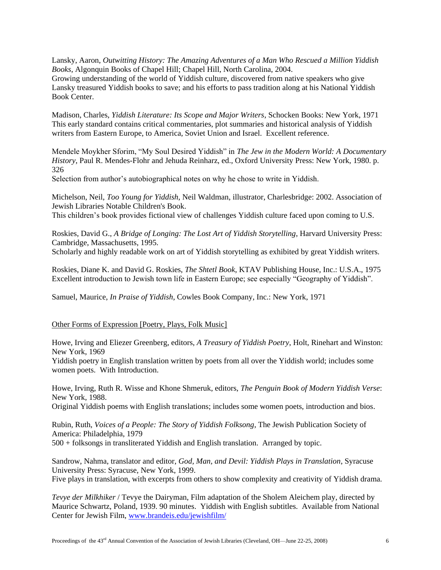Lansky, Aaron, *Outwitting History: The Amazing Adventures of a Man Who Rescued a Million Yiddish Books*, Algonquin Books of Chapel Hill; Chapel Hill, North Carolina, 2004. Growing understanding of the world of Yiddish culture, discovered from native speakers who give Lansky treasured Yiddish books to save; and his efforts to pass tradition along at his National Yiddish Book Center.

Madison, Charles, *Yiddish Literature: Its Scope and Major Writers*, Schocken Books: New York, 1971 This early standard contains critical commentaries, plot summaries and historical analysis of Yiddish writers from Eastern Europe, to America, Soviet Union and Israel. Excellent reference.

Mendele Moykher Sforim, "My Soul Desired Yiddish" in *The Jew in the Modern World: A Documentary History*, Paul R. Mendes-Flohr and Jehuda Reinharz, ed., Oxford University Press: New York, 1980. p. 326

Selection from author's autobiographical notes on why he chose to write in Yiddish.

Michelson, Neil, *Too Young for Yiddish*, Neil Waldman, illustrator, Charlesbridge: 2002. Association of Jewish Libraries Notable Children's Book.

This children's book provides fictional view of challenges Yiddish culture faced upon coming to U.S.

Roskies, David G., *A Bridge of Longing: The Lost Art of Yiddish Storytelling*, Harvard University Press: Cambridge, Massachusetts, 1995.

Scholarly and highly readable work on art of Yiddish storytelling as exhibited by great Yiddish writers.

Roskies, Diane K. and David G. Roskies, *The Shtetl Book*, KTAV Publishing House, Inc.: U.S.A., 1975 Excellent introduction to Jewish town life in Eastern Europe; see especially "Geography of Yiddish".

Samuel, Maurice, *In Praise of Yiddish*, Cowles Book Company, Inc.: New York, 1971

#### Other Forms of Expression [Poetry, Plays, Folk Music]

Howe, Irving and Eliezer Greenberg, editors, *A Treasury of Yiddish Poetry*, Holt, Rinehart and Winston: New York, 1969

Yiddish poetry in English translation written by poets from all over the Yiddish world; includes some women poets. With Introduction.

Howe, Irving, Ruth R. Wisse and Khone Shmeruk, editors, *The Penguin Book of Modern Yiddish Verse*: New York, 1988.

Original Yiddish poems with English translations; includes some women poets, introduction and bios.

Rubin, Ruth, *Voices of a People: The Story of Yiddish Folksong*, The Jewish Publication Society of America: Philadelphia, 1979 500 + folksongs in transliterated Yiddish and English translation. Arranged by topic.

Sandrow, Nahma, translator and editor, *God, Man, and Devil: Yiddish Plays in Translation*, Syracuse University Press: Syracuse, New York, 1999. Five plays in translation, with excerpts from others to show complexity and creativity of Yiddish drama.

*Tevye der Milkhiker* / Tevye the Dairyman, Film adaptation of the Sholem Aleichem play, directed by Maurice Schwartz, Poland, 1939. 90 minutes. Yiddish with English subtitles. Available from National Center for Jewish Film, [www.brandeis.edu/jewishfilm/](http://www.brandeis.edu/jewishfilm/)